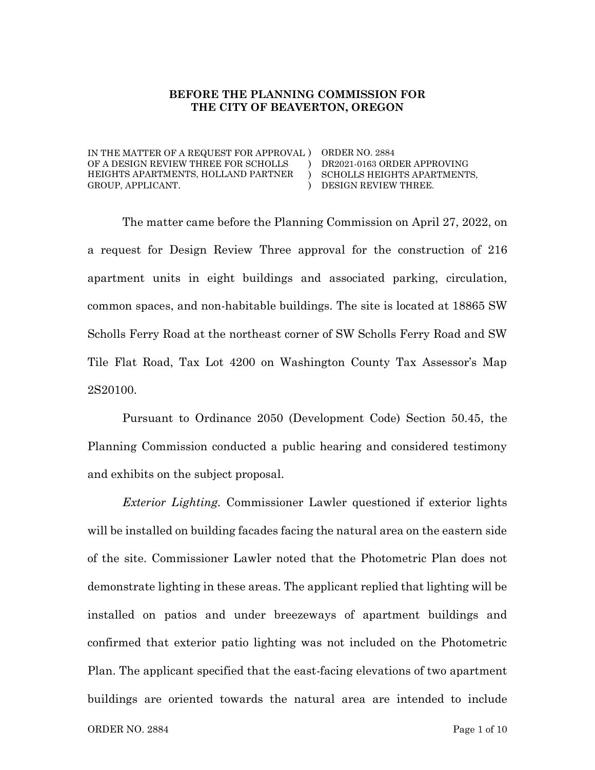#### **BEFORE THE PLANNING COMMISSION FOR THE CITY OF BEAVERTON, OREGON**

IN THE MATTER OF A REQUEST FOR APPROVAL ) ORDER NO. 2884 OF A DESIGN REVIEW THREE FOR SCHOLLS HEIGHTS APARTMENTS, HOLLAND PARTNER GROUP, APPLICANT. ) )  $\lambda$ 

DR2021-0163 ORDER APPROVING SCHOLLS HEIGHTS APARTMENTS, DESIGN REVIEW THREE.

The matter came before the Planning Commission on April 27, 2022, on a request for Design Review Three approval for the construction of 216 apartment units in eight buildings and associated parking, circulation, common spaces, and non-habitable buildings. The site is located at 18865 SW Scholls Ferry Road at the northeast corner of SW Scholls Ferry Road and SW Tile Flat Road, Tax Lot 4200 on Washington County Tax Assessor's Map 2S20100.

Pursuant to Ordinance 2050 (Development Code) Section 50.45, the Planning Commission conducted a public hearing and considered testimony and exhibits on the subject proposal.

*Exterior Lighting.* Commissioner Lawler questioned if exterior lights will be installed on building facades facing the natural area on the eastern side of the site. Commissioner Lawler noted that the Photometric Plan does not demonstrate lighting in these areas. The applicant replied that lighting will be installed on patios and under breezeways of apartment buildings and confirmed that exterior patio lighting was not included on the Photometric Plan. The applicant specified that the east-facing elevations of two apartment buildings are oriented towards the natural area are intended to include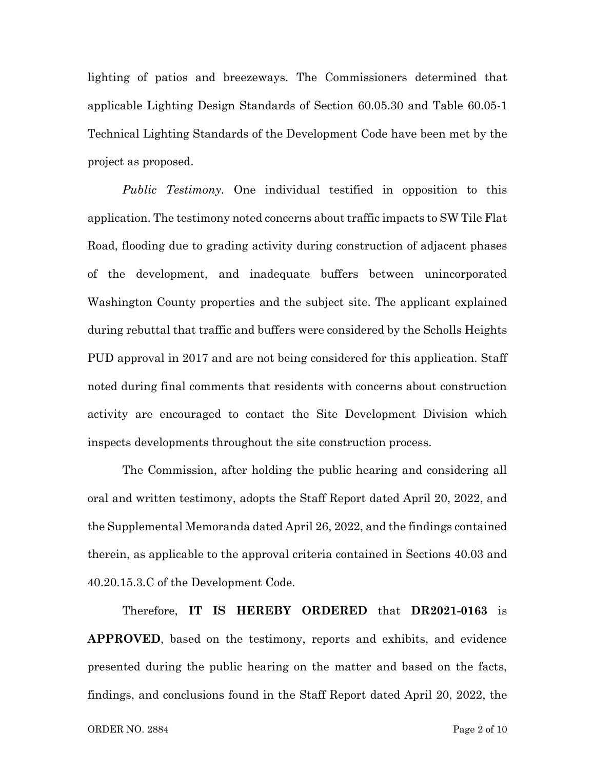lighting of patios and breezeways. The Commissioners determined that applicable Lighting Design Standards of Section 60.05.30 and Table 60.05-1 Technical Lighting Standards of the Development Code have been met by the project as proposed.

*Public Testimony.* One individual testified in opposition to this application. The testimony noted concerns about traffic impacts to SW Tile Flat Road, flooding due to grading activity during construction of adjacent phases of the development, and inadequate buffers between unincorporated Washington County properties and the subject site. The applicant explained during rebuttal that traffic and buffers were considered by the Scholls Heights PUD approval in 2017 and are not being considered for this application. Staff noted during final comments that residents with concerns about construction activity are encouraged to contact the Site Development Division which inspects developments throughout the site construction process.

The Commission, after holding the public hearing and considering all oral and written testimony, adopts the Staff Report dated April 20, 2022, and the Supplemental Memoranda dated April 26, 2022, and the findings contained therein, as applicable to the approval criteria contained in Sections 40.03 and 40.20.15.3.C of the Development Code.

Therefore, **IT IS HEREBY ORDERED** that **DR2021-0163** is **APPROVED**, based on the testimony, reports and exhibits, and evidence presented during the public hearing on the matter and based on the facts, findings, and conclusions found in the Staff Report dated April 20, 2022, the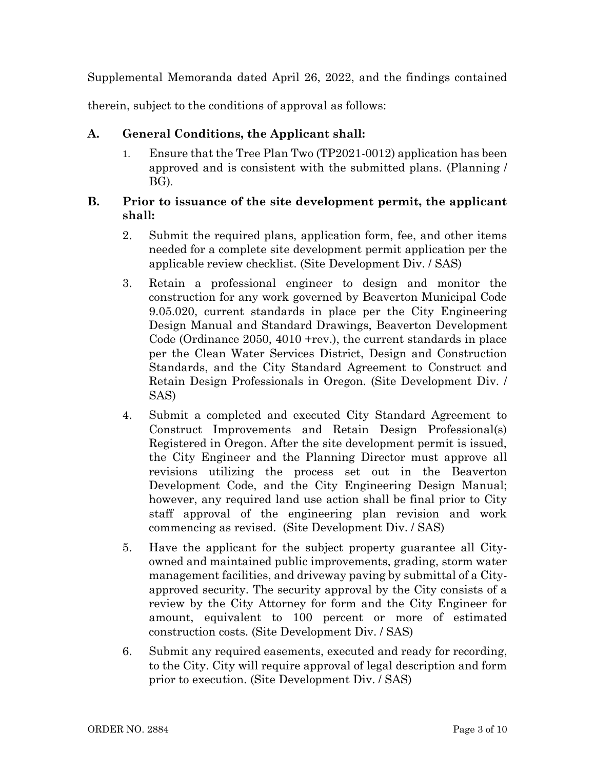Supplemental Memoranda dated April 26, 2022, and the findings contained

therein, subject to the conditions of approval as follows:

## **A. General Conditions, the Applicant shall:**

1. Ensure that the Tree Plan Two (TP2021-0012) application has been approved and is consistent with the submitted plans. (Planning / BG).

## **B. Prior to issuance of the site development permit, the applicant shall:**

- 2. Submit the required plans, application form, fee, and other items needed for a complete site development permit application per the applicable review checklist. (Site Development Div. / SAS)
- 3. Retain a professional engineer to design and monitor the construction for any work governed by Beaverton Municipal Code 9.05.020, current standards in place per the City Engineering Design Manual and Standard Drawings, Beaverton Development Code (Ordinance 2050, 4010 +rev.), the current standards in place per the Clean Water Services District, Design and Construction Standards, and the City Standard Agreement to Construct and Retain Design Professionals in Oregon. (Site Development Div. / SAS)
- 4. Submit a completed and executed City Standard Agreement to Construct Improvements and Retain Design Professional(s) Registered in Oregon. After the site development permit is issued, the City Engineer and the Planning Director must approve all revisions utilizing the process set out in the Beaverton Development Code, and the City Engineering Design Manual; however, any required land use action shall be final prior to City staff approval of the engineering plan revision and work commencing as revised. (Site Development Div. / SAS)
- 5. Have the applicant for the subject property guarantee all Cityowned and maintained public improvements, grading, storm water management facilities, and driveway paving by submittal of a Cityapproved security. The security approval by the City consists of a review by the City Attorney for form and the City Engineer for amount, equivalent to 100 percent or more of estimated construction costs. (Site Development Div. / SAS)
- 6. Submit any required easements, executed and ready for recording, to the City. City will require approval of legal description and form prior to execution. (Site Development Div. / SAS)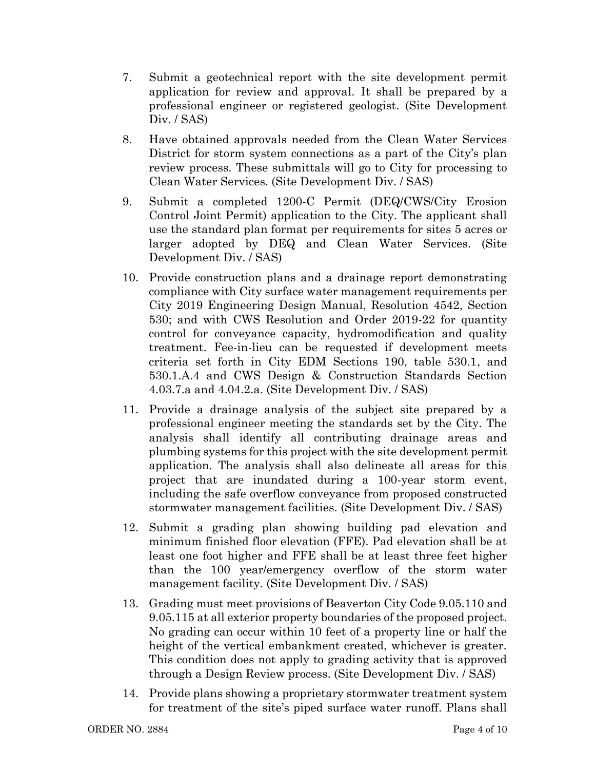- 7. Submit a geotechnical report with the site development permit application for review and approval. It shall be prepared by a professional engineer or registered geologist. (Site Development Div. / SAS)
- 8. Have obtained approvals needed from the Clean Water Services District for storm system connections as a part of the City's plan review process. These submittals will go to City for processing to Clean Water Services. (Site Development Div. / SAS)
- 9. Submit a completed 1200-C Permit (DEQ/CWS/City Erosion Control Joint Permit) application to the City. The applicant shall use the standard plan format per requirements for sites 5 acres or larger adopted by DEQ and Clean Water Services. (Site Development Div. / SAS)
- 10. Provide construction plans and a drainage report demonstrating compliance with City surface water management requirements per City 2019 Engineering Design Manual, Resolution 4542, Section 530; and with CWS Resolution and Order 2019-22 for quantity control for conveyance capacity, hydromodification and quality treatment. Fee-in-lieu can be requested if development meets criteria set forth in City EDM Sections 190, table 530.1, and 530.1.A.4 and CWS Design & Construction Standards Section 4.03.7.a and 4.04.2.a. (Site Development Div. / SAS)
- 11. Provide a drainage analysis of the subject site prepared by a professional engineer meeting the standards set by the City. The analysis shall identify all contributing drainage areas and plumbing systems for this project with the site development permit application. The analysis shall also delineate all areas for this project that are inundated during a 100-year storm event, including the safe overflow conveyance from proposed constructed stormwater management facilities. (Site Development Div. / SAS)
- 12. Submit a grading plan showing building pad elevation and minimum finished floor elevation (FFE). Pad elevation shall be at least one foot higher and FFE shall be at least three feet higher than the 100 year/emergency overflow of the storm water management facility. (Site Development Div. / SAS)
- 13. Grading must meet provisions of Beaverton City Code 9.05.110 and 9.05.115 at all exterior property boundaries of the proposed project. No grading can occur within 10 feet of a property line or half the height of the vertical embankment created, whichever is greater. This condition does not apply to grading activity that is approved through a Design Review process. (Site Development Div. / SAS)
- 14. Provide plans showing a proprietary stormwater treatment system for treatment of the site's piped surface water runoff. Plans shall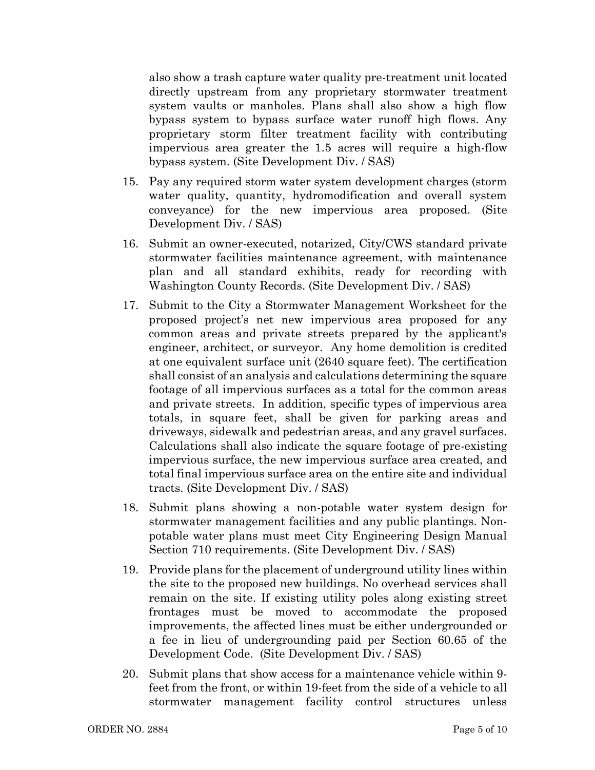also show a trash capture water quality pre-treatment unit located directly upstream from any proprietary stormwater treatment system vaults or manholes. Plans shall also show a high flow bypass system to bypass surface water runoff high flows. Any proprietary storm filter treatment facility with contributing impervious area greater the 1.5 acres will require a high-flow bypass system. (Site Development Div. / SAS)

- 15. Pay any required storm water system development charges (storm water quality, quantity, hydromodification and overall system conveyance) for the new impervious area proposed. (Site Development Div. / SAS)
- 16. Submit an owner-executed, notarized, City/CWS standard private stormwater facilities maintenance agreement, with maintenance plan and all standard exhibits, ready for recording with Washington County Records. (Site Development Div. / SAS)
- 17. Submit to the City a Stormwater Management Worksheet for the proposed project's net new impervious area proposed for any common areas and private streets prepared by the applicant's engineer, architect, or surveyor. Any home demolition is credited at one equivalent surface unit (2640 square feet). The certification shall consist of an analysis and calculations determining the square footage of all impervious surfaces as a total for the common areas and private streets. In addition, specific types of impervious area totals, in square feet, shall be given for parking areas and driveways, sidewalk and pedestrian areas, and any gravel surfaces. Calculations shall also indicate the square footage of pre-existing impervious surface, the new impervious surface area created, and total final impervious surface area on the entire site and individual tracts. (Site Development Div. / SAS)
- 18. Submit plans showing a non-potable water system design for stormwater management facilities and any public plantings. Nonpotable water plans must meet City Engineering Design Manual Section 710 requirements. (Site Development Div. / SAS)
- 19. Provide plans for the placement of underground utility lines within the site to the proposed new buildings. No overhead services shall remain on the site. If existing utility poles along existing street frontages must be moved to accommodate the proposed improvements, the affected lines must be either undergrounded or a fee in lieu of undergrounding paid per Section 60.65 of the Development Code. (Site Development Div. / SAS)
- 20. Submit plans that show access for a maintenance vehicle within 9 feet from the front, or within 19-feet from the side of a vehicle to all stormwater management facility control structures unless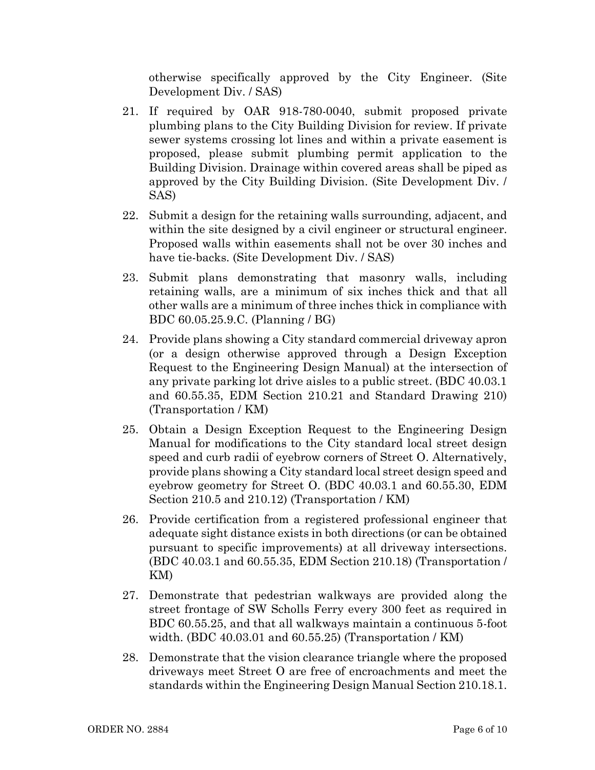otherwise specifically approved by the City Engineer. (Site Development Div. / SAS)

- 21. If required by OAR 918-780-0040, submit proposed private plumbing plans to the City Building Division for review. If private sewer systems crossing lot lines and within a private easement is proposed, please submit plumbing permit application to the Building Division. Drainage within covered areas shall be piped as approved by the City Building Division. (Site Development Div. / SAS)
- 22. Submit a design for the retaining walls surrounding, adjacent, and within the site designed by a civil engineer or structural engineer. Proposed walls within easements shall not be over 30 inches and have tie-backs. (Site Development Div. / SAS)
- 23. Submit plans demonstrating that masonry walls, including retaining walls, are a minimum of six inches thick and that all other walls are a minimum of three inches thick in compliance with BDC 60.05.25.9.C. (Planning / BG)
- 24. Provide plans showing a City standard commercial driveway apron (or a design otherwise approved through a Design Exception Request to the Engineering Design Manual) at the intersection of any private parking lot drive aisles to a public street. (BDC 40.03.1 and 60.55.35, EDM Section 210.21 and Standard Drawing 210) (Transportation / KM)
- 25. Obtain a Design Exception Request to the Engineering Design Manual for modifications to the City standard local street design speed and curb radii of eyebrow corners of Street O. Alternatively, provide plans showing a City standard local street design speed and eyebrow geometry for Street O. (BDC 40.03.1 and 60.55.30, EDM Section 210.5 and 210.12) (Transportation / KM)
- 26. Provide certification from a registered professional engineer that adequate sight distance exists in both directions (or can be obtained pursuant to specific improvements) at all driveway intersections. (BDC 40.03.1 and 60.55.35, EDM Section 210.18) (Transportation / KM)
- 27. Demonstrate that pedestrian walkways are provided along the street frontage of SW Scholls Ferry every 300 feet as required in BDC 60.55.25, and that all walkways maintain a continuous 5-foot width. (BDC 40.03.01 and 60.55.25) (Transportation / KM)
- 28. Demonstrate that the vision clearance triangle where the proposed driveways meet Street O are free of encroachments and meet the standards within the Engineering Design Manual Section 210.18.1.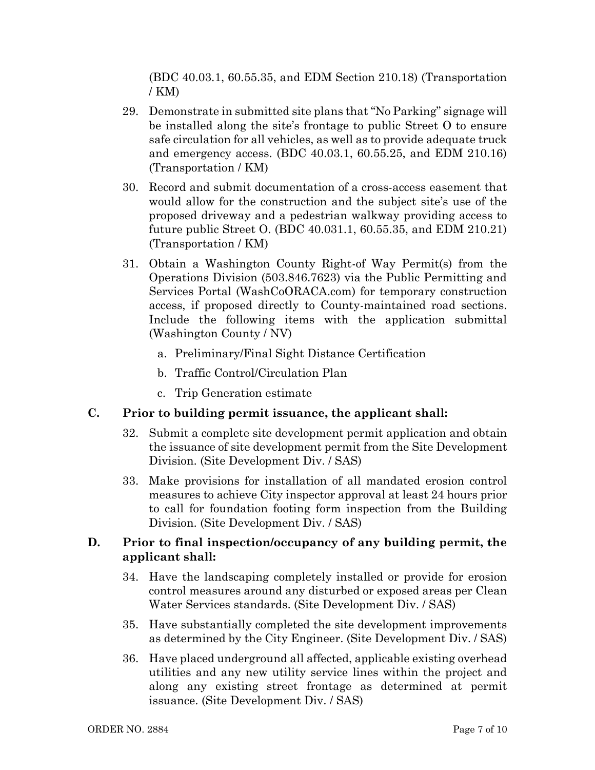(BDC 40.03.1, 60.55.35, and EDM Section 210.18) (Transportation / KM)

- 29. Demonstrate in submitted site plans that "No Parking" signage will be installed along the site's frontage to public Street O to ensure safe circulation for all vehicles, as well as to provide adequate truck and emergency access. (BDC 40.03.1, 60.55.25, and EDM 210.16) (Transportation / KM)
- 30. Record and submit documentation of a cross-access easement that would allow for the construction and the subject site's use of the proposed driveway and a pedestrian walkway providing access to future public Street O. (BDC 40.031.1, 60.55.35, and EDM 210.21) (Transportation / KM)
- 31. Obtain a Washington County Right-of Way Permit(s) from the Operations Division (503.846.7623) via the Public Permitting and Services Portal (WashCoORACA.com) for temporary construction access, if proposed directly to County-maintained road sections. Include the following items with the application submittal (Washington County / NV)
	- a. Preliminary/Final Sight Distance Certification
	- b. Traffic Control/Circulation Plan
	- c. Trip Generation estimate

# **C. Prior to building permit issuance, the applicant shall:**

- 32. Submit a complete site development permit application and obtain the issuance of site development permit from the Site Development Division. (Site Development Div. / SAS)
- 33. Make provisions for installation of all mandated erosion control measures to achieve City inspector approval at least 24 hours prior to call for foundation footing form inspection from the Building Division. (Site Development Div. / SAS)

## **D. Prior to final inspection/occupancy of any building permit, the applicant shall:**

- 34. Have the landscaping completely installed or provide for erosion control measures around any disturbed or exposed areas per Clean Water Services standards. (Site Development Div. / SAS)
- 35. Have substantially completed the site development improvements as determined by the City Engineer. (Site Development Div. / SAS)
- 36. Have placed underground all affected, applicable existing overhead utilities and any new utility service lines within the project and along any existing street frontage as determined at permit issuance. (Site Development Div. / SAS)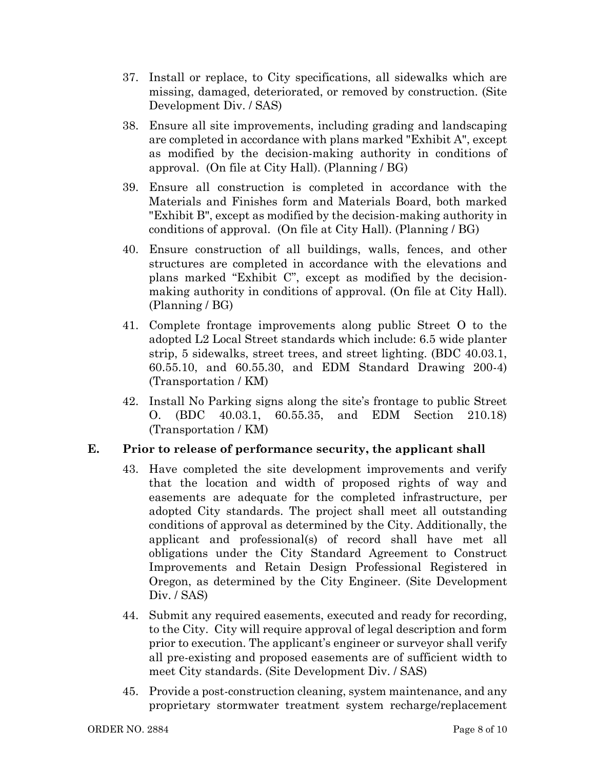- 37. Install or replace, to City specifications, all sidewalks which are missing, damaged, deteriorated, or removed by construction. (Site Development Div. / SAS)
- 38. Ensure all site improvements, including grading and landscaping are completed in accordance with plans marked "Exhibit A", except as modified by the decision-making authority in conditions of approval. (On file at City Hall). (Planning / BG)
- 39. Ensure all construction is completed in accordance with the Materials and Finishes form and Materials Board, both marked "Exhibit B", except as modified by the decision-making authority in conditions of approval. (On file at City Hall). (Planning / BG)
- 40. Ensure construction of all buildings, walls, fences, and other structures are completed in accordance with the elevations and plans marked "Exhibit C", except as modified by the decisionmaking authority in conditions of approval. (On file at City Hall). (Planning / BG)
- 41. Complete frontage improvements along public Street O to the adopted L2 Local Street standards which include: 6.5 wide planter strip, 5 sidewalks, street trees, and street lighting. (BDC 40.03.1, 60.55.10, and 60.55.30, and EDM Standard Drawing 200-4) (Transportation / KM)
- 42. Install No Parking signs along the site's frontage to public Street O. (BDC 40.03.1, 60.55.35, and EDM Section 210.18) (Transportation / KM)

# **E. Prior to release of performance security, the applicant shall**

- 43. Have completed the site development improvements and verify that the location and width of proposed rights of way and easements are adequate for the completed infrastructure, per adopted City standards. The project shall meet all outstanding conditions of approval as determined by the City. Additionally, the applicant and professional(s) of record shall have met all obligations under the City Standard Agreement to Construct Improvements and Retain Design Professional Registered in Oregon, as determined by the City Engineer. (Site Development Div. / SAS)
- 44. Submit any required easements, executed and ready for recording, to the City. City will require approval of legal description and form prior to execution. The applicant's engineer or surveyor shall verify all pre-existing and proposed easements are of sufficient width to meet City standards. (Site Development Div. / SAS)
- 45. Provide a post-construction cleaning, system maintenance, and any proprietary stormwater treatment system recharge/replacement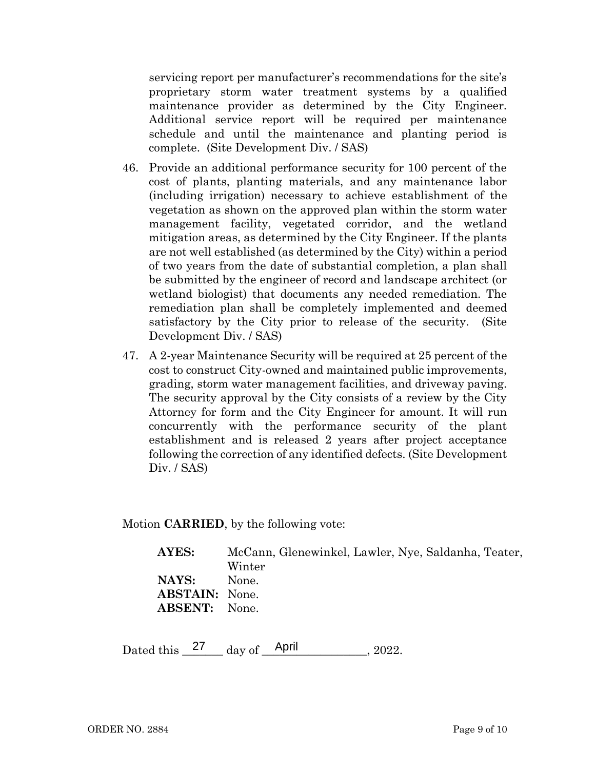servicing report per manufacturer's recommendations for the site's proprietary storm water treatment systems by a qualified maintenance provider as determined by the City Engineer. Additional service report will be required per maintenance schedule and until the maintenance and planting period is complete. (Site Development Div. / SAS)

- 46. Provide an additional performance security for 100 percent of the cost of plants, planting materials, and any maintenance labor (including irrigation) necessary to achieve establishment of the vegetation as shown on the approved plan within the storm water management facility, vegetated corridor, and the wetland mitigation areas, as determined by the City Engineer. If the plants are not well established (as determined by the City) within a period of two years from the date of substantial completion, a plan shall be submitted by the engineer of record and landscape architect (or wetland biologist) that documents any needed remediation. The remediation plan shall be completely implemented and deemed satisfactory by the City prior to release of the security. (Site Development Div. / SAS)
- 47. A 2-year Maintenance Security will be required at 25 percent of the cost to construct City-owned and maintained public improvements, grading, storm water management facilities, and driveway paving. The security approval by the City consists of a review by the City Attorney for form and the City Engineer for amount. It will run concurrently with the performance security of the plant establishment and is released 2 years after project acceptance following the correction of any identified defects. (Site Development Div. / SAS)

Motion **CARRIED**, by the following vote:

| AYES:                 | McCann, Glenewinkel, Lawler, Nye, Saldanha, Teater, |  |  |  |  |  |
|-----------------------|-----------------------------------------------------|--|--|--|--|--|
|                       | Winter                                              |  |  |  |  |  |
| NAYS:                 | None.                                               |  |  |  |  |  |
| <b>ABSTAIN:</b> None. |                                                     |  |  |  |  |  |
| <b>ABSENT:</b> None.  |                                                     |  |  |  |  |  |
|                       |                                                     |  |  |  |  |  |

Dated this  $\frac{27}{\text{day of}}$  day of  $\frac{\text{April}}{\text{April}}$ , 2022.